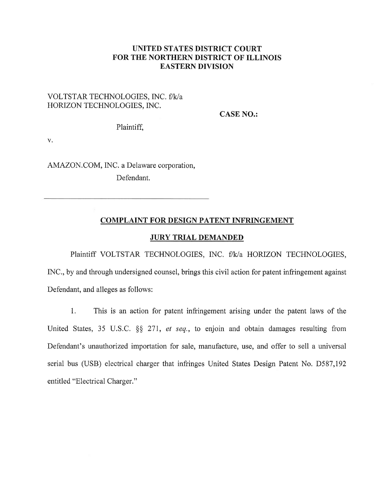## UNITED STATES DISTRICT COURT FOR THE NORTHERN DISTRICT OF ILLINOIS EASTERN DIVISION

## VOLTSTAR TECHNOLOGIES, INC. f/k/a HORIZON TECHNOLOGIES. INC.

CASE NO.:

Plaintiff,

V.

AMAZON.COM, INC. a Delaware corporation, Defendant.

## COMPLAINT FOR DESIGN PATENT INFRINGEMENT

### JURY TRIAL DEMANDED

Plaintiff VOLTSTAR TECHNOLOGIES, INC. f/k/a HORIZON TECHNOLOGIES, fNC., by and through undersigned counsel, brings this civil action for patent infringement against Defendant, and alleges as follows:

1. This is an action for patent infringement arising under the patent laws of the United States, 35 U.S.C, \$\$ 271, et seq., to enjoin and obtain damages resulting from Defendant's unauthorized importation for sale, manufacture, use, and offer to sell a universal serial bus (USB) electrical charger that infringes United States Design Patent No. D587,192 entitled "Electrical Charger."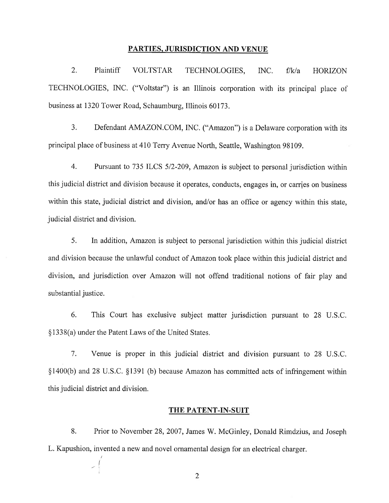#### PARTIES. JURISDICTION AND VENUE

2. Plaintiff VOLTSTAR TECHNOLOGIES, INC. f/k/a HORIZON TECHNOLOGIES, INC. ("Voltstar") is an Illinois corporation with its principal place of business at 1320 Tower Road, Schaumburg, Illinois 60173.

3. Defendant AMAZON,COM, INC. ("Amazon") is a Delaware corporation with its principal place of business at 4I0 Terry Avenue North, Seattle, Washington 98109.

4. Pursuant to 735 ILCS 5/2-209, Amazon is subject to personal jurisdiction within this judicial district and division because it operates, conducts, engages in, or carries on business within this state, judicial district and division, and/or has an office or agency within this state, judicial district and division.

5. In addition, Amazon is subject to personal jurisdiction within this judicial district and division because the unlawful conduct of Amazon took place within this judicial district and division, and jurisdiction over Amazon will not offend traditional notions of fair play and substantial justice.

6. This Court has exclusive subject matter jurisdiction pursuant to 28 U.S.C. \$1338(a) under the Patent Laws of the United States.

7. Venue is proper in this judicial district and division pursuant to 28 U.S.C. \$1400(b) and 28 U.S.C. \$1391 (b) because Amazon has committed acts of infringement within this judicial district and division.

#### THE PATENT-IN-SUIT

8. Prior to November 28,2007, James W. McGinley, Donald Rimdzius, and Joseph L, Kapushion, invented a new and novel ornamental design for an electrical charger.

J

-l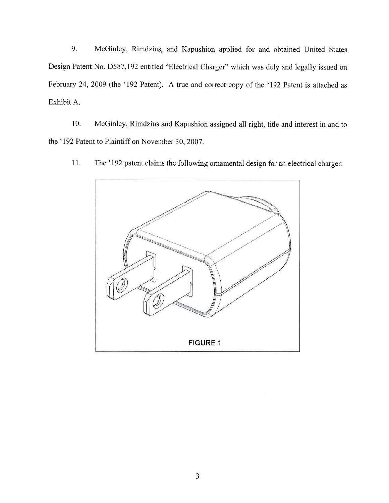9. McGinley, Rimdzius, and Kapushion applied for and obtained United States Design Patent No. D587,192 entitled "Electrical Charger" which was duly and legally issued on February 24, 2009 (the '192 Patent). A true and correct copy of the '192 Patent is attached as Exhibit A.

10. McGinley, Rimdzius and Kapushion assigned all right, title and interest in and to the '192 Patent to Plaintiff on November 30, 2007.

<sup>I</sup>l. The '192 patent claims the following ornamental design for an electrical charger:

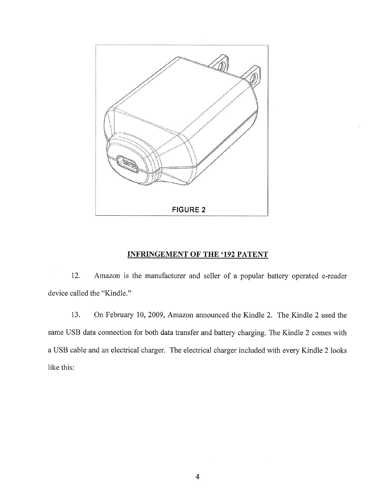

## INFRINGEMENT OF THE '192 PATENT

12. Amazon is the manufacturer and seller of a popular battery operated e-reader device called the "Kindle."

13. On February I0, 2009, Amazon announced the Kindle 2. The Kindle 2 used the same USB data connection for both data transfer and battery charging. The Kindle 2 comes with a USB cable and an electrical charger. The electrical charger included with every Kindle 2 looks like this: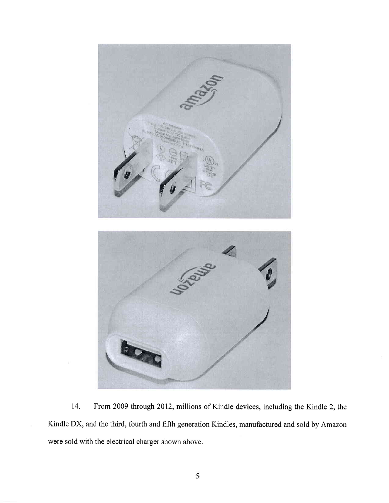

14. From 2009 through 2012, millions of Kindle devices, including the Kindle 2, the Kindle DX, and the third, fourth and fifth generation Kindles, manufactured and sold by Amazon were sold with the electrical charger shown above.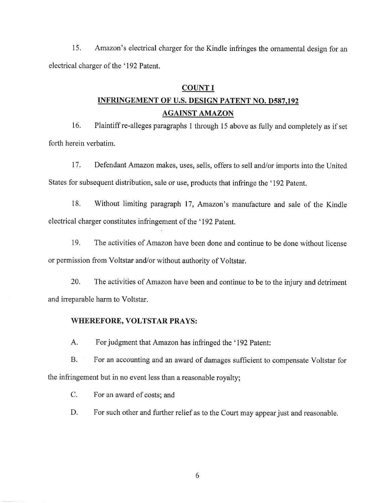15. Amazon's electrical charger for the Kindle infringes the ornamental design for an electrical charger of the '192 Patent.

#### COUNT I

# INFRINGEMENT OF U.S. DESIGN PATENT NO. D587.192 AGAINST AMAZON

16. Plaintiff re-alleges paragraphs I through 15 above as fully and completely as if set forth herein verbatim.

17. Defendant Amazon makes, uses, sells, offers to sell and/or imports into the United States for subsequent distribution, sale or use, products that infringe the '192 Patent.

18, Without limiting paragraph 17, Amazon's manufacture and sale of the Kindle electrical charger constitutes infringement of the '192 Patent,

19. The activities of Amazon have been done and continue to be done without license or permission from Voltstar and/or without authority of Voltstar.

20. The activities of Amazon have been and continue to be to the injury and detriment and irreparable harm to Voltstar.

#### WHEREFORE, VOLTSTAR PRAYS :

A. For judgment that Amazon has infringed the '192 Patent:

B. For an accounting and an award of damages sufficient to compensate Voltstar for the infringement but in no event less than a reasonable royalty;

C. For an award of costs: and

D. For such other and further relief as to the Court may appear just and reasonable.